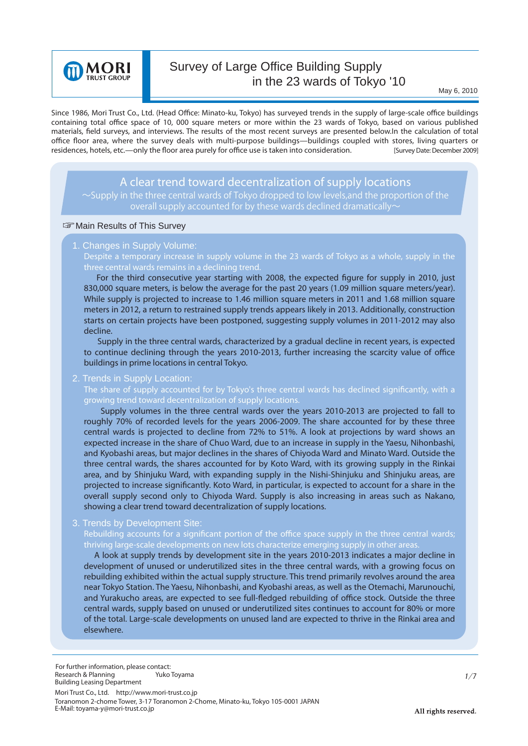

# Survey of Large Office Building Supply in the 23 wards of Tokyo '10

Since 1986, Mori Trust Co., Ltd. (Head Office: Minato-ku, Tokyo) has surveyed trends in the supply of large-scale office buildings containing total office space of 10, 000 square meters or more within the 23 wards of Tokyo, based on various published materials, field surveys, and interviews. The results of the most recent surveys are presented below.In the calculation of total office floor area, where the survey deals with multi-purpose buildings—buildings coupled with stores, living quarters or residences, hotels, etc.—only the floor area purely for office use is taken into consideration. [Survey Date: December 2009]

# *A clear trend toward decentralization of supply locations*

 $\sim$ Supply in the three central wards of Tokyo dropped to low levels,and the proportion of the overall supply accounted for by these wards declined dramatically  $\sim$ 

#### **Solution** Results of This Survey

#### 1. Changes in Supply Volume:

**Despite a temporary increase in supply volume in the 23 wards of Tokyo as a whole, supply in the three central wards remains in a declining trend.**

830,000 square meters, is below the average for the past 20 years (1.09 million square meters/year). For the third consecutive year starting with 2008, the expected figure for supply in 2010, just While supply is projected to increase to 1.46 million square meters in 2011 and 1.68 million square meters in 2012, a return to restrained supply trends appears likely in 2013. Additionally, construction starts on certain projects have been postponed, suggesting supply volumes in 2011-2012 may also decline.

 Supply in the three central wards, characterized by a gradual decline in recent years, is expected to continue declining through the years 2010-2013, further increasing the scarcity value of office buildings in prime locations in central Tokyo.

2. Trends in Supply Location:

**The share of supply accounted for by Tokyo's three central wards has declined significantly, with a growing trend toward decentralization of supply locations.**

 Supply volumes in the three central wards over the years 2010-2013 are projected to fall to roughly 70% of recorded levels for the years 2006-2009. The share accounted for by these three central wards is projected to decline from 72% to 51%. A look at projections by ward shows an expected increase in the share of Chuo Ward, due to an increase in supply in the Yaesu, Nihonbashi, and Kyobashi areas, but major declines in the shares of Chiyoda Ward and Minato Ward. Outside the three central wards, the shares accounted for by Koto Ward, with its growing supply in the Rinkai area, and by Shinjuku Ward, with expanding supply in the Nishi-Shinjuku and Shinjuku areas, are projected to increase significantly. Koto Ward, in particular, is expected to account for a share in the overall supply second only to Chiyoda Ward. Supply is also increasing in areas such as Nakano, showing a clear trend toward decentralization of supply locations.

3. Trends by Development Site:

**Rebuilding accounts for a significant portion of the office space supply in the three central wards; thriving large-scale developments on new lots characterize emerging supply in other areas.**

 A look at supply trends by development site in the years 2010-2013 indicates a major decline in development of unused or underutilized sites in the three central wards, with a growing focus on rebuilding exhibited within the actual supply structure. This trend primarily revolves around the area near Tokyo Station. The Yaesu, Nihonbashi, and Kyobashi areas, as well as the Otemachi, Marunouchi, and Yurakucho areas, are expected to see full-fledged rebuilding of office stock. Outside the three central wards, supply based on unused or underutilized sites continues to account for 80% or more of the total. Large-scale developments on unused land are expected to thrive in the Rinkai area and elsewhere.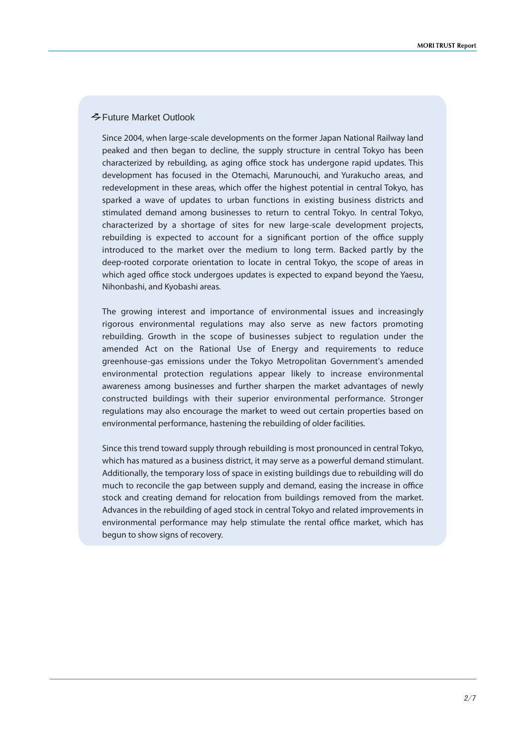# Future Market Outlook

Since 2004, when large-scale developments on the former Japan National Railway land peaked and then began to decline, the supply structure in central Tokyo has been characterized by rebuilding, as aging office stock has undergone rapid updates. This development has focused in the Otemachi, Marunouchi, and Yurakucho areas, and redevelopment in these areas, which offer the highest potential in central Tokyo, has sparked a wave of updates to urban functions in existing business districts and stimulated demand among businesses to return to central Tokyo. In central Tokyo, characterized by a shortage of sites for new large-scale development projects, rebuilding is expected to account for a significant portion of the office supply introduced to the market over the medium to long term. Backed partly by the deep-rooted corporate orientation to locate in central Tokyo, the scope of areas in which aged office stock undergoes updates is expected to expand beyond the Yaesu, Nihonbashi, and Kyobashi areas.

The growing interest and importance of environmental issues and increasingly rigorous environmental regulations may also serve as new factors promoting rebuilding. Growth in the scope of businesses subject to regulation under the amended Act on the Rational Use of Energy and requirements to reduce greenhouse-gas emissions under the Tokyo Metropolitan Government's amended environmental protection regulations appear likely to increase environmental awareness among businesses and further sharpen the market advantages of newly constructed buildings with their superior environmental performance. Stronger regulations may also encourage the market to weed out certain properties based on environmental performance, hastening the rebuilding of older facilities.

Since this trend toward supply through rebuilding is most pronounced in central Tokyo, which has matured as a business district, it may serve as a powerful demand stimulant. Additionally, the temporary loss of space in existing buildings due to rebuilding will do much to reconcile the gap between supply and demand, easing the increase in office stock and creating demand for relocation from buildings removed from the market. Advances in the rebuilding of aged stock in central Tokyo and related improvements in environmental performance may help stimulate the rental office market, which has begun to show signs of recovery.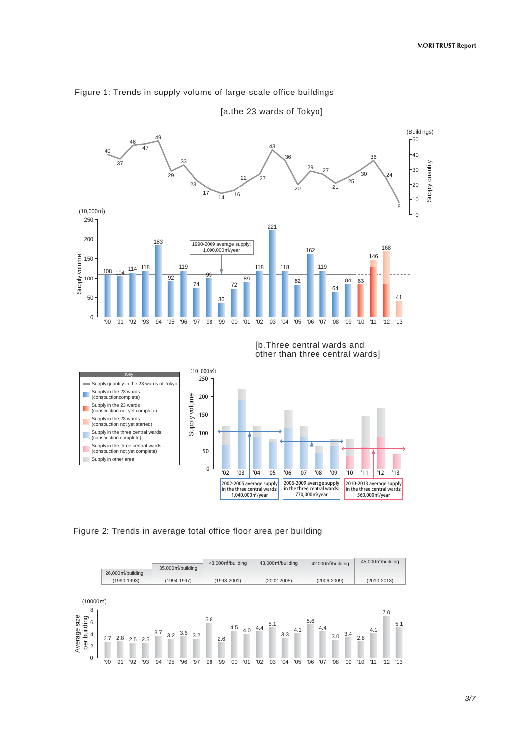



[a.the 23 wards of Tokyo]



Figure 2: Trends in average total office floor area per building

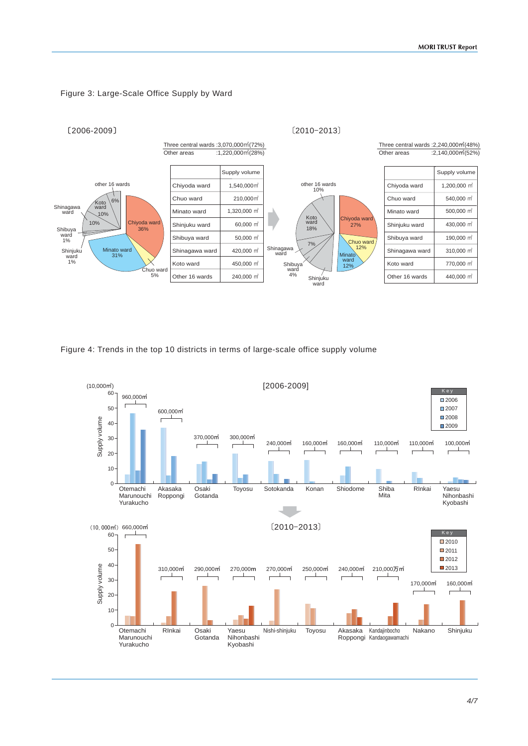

### Figure 3: Large-Scale Office Supply by Ward

Figure 4: Trends in the top 10 districts in terms of large-scale office supply volume

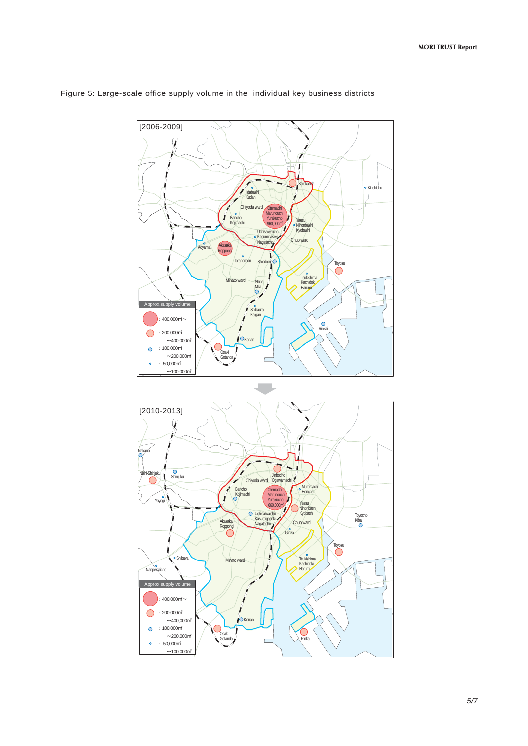

Figure 5: Large-scale office supply volume in the individual key business districts

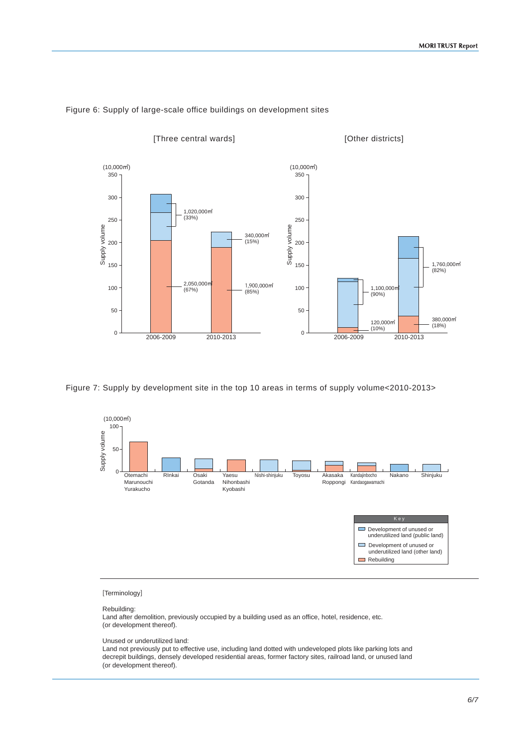

#### Figure 6: Supply of large-scale office buildings on development sites





#### [Terminology]

### Rebuilding:

Land after demolition, previously occupied by a building used as an office, hotel, residence, etc. (or development thereof).

Unused or underutilized land:

Land not previously put to effective use, including land dotted with undeveloped plots like parking lots and decrepit buildings, densely developed residential areas, former factory sites, railroad land, or unused land (or development thereof).